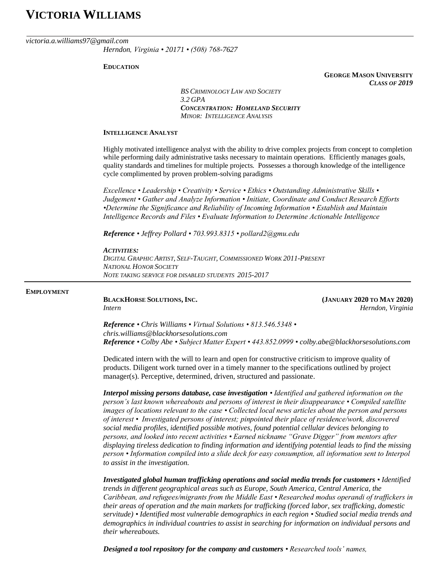# **VICTORIA WILLIAMS**

### *victoria.a.williams97@gmail.com*

*Herndon, Virginia • 20171 • (508) 768-7627*

### **EDUCATION**

**GEORGE MASON UNIVERSITY** *CLASS OF 2019*

*BS CRIMINOLOGY LAW AND SOCIETY 3.2 GPA CONCENTRATION: HOMELAND SECURITY MINOR: INTELLIGENCE ANALYSIS* 

### **INTELLIGENCE ANALYST**

Highly motivated intelligence analyst with the ability to drive complex projects from concept to completion while performing daily administrative tasks necessary to maintain operations. Efficiently manages goals, quality standards and timelines for multiple projects. Possesses a thorough knowledge of the intelligence cycle complimented by proven problem-solving paradigms

*Excellence • Leadership • Creativity • Service • Ethics • Outstanding Administrative Skills • Judgement • Gather and Analyze Information • Initiate, Coordinate and Conduct Research Efforts •Determine the Significance and Reliability of Incoming Information • Establish and Maintain Intelligence Records and Files • Evaluate Information to Determine Actionable Intelligence*

*Reference • Jeffrey Pollard • 703.993.8315 • pollard2@gmu.edu* 

## *ACTIVITIES:*

*DIGITAL GRAPHIC ARTIST, SELF-TAUGHT, COMMISSIONED WORK 2011-PRESENT NATIONAL HONOR SOCIETY NOTE TAKING SERVICE FOR DISABLED STUDENTS 2015-2017*

#### **EMPLOYMENT**

**BLACKHORSE SOLUTIONS, INC.** (JANUARY 2020 TO MAY 2020)

*Intern Herndon, Virginia*

*Reference • Chris Williams • Virtual Solutions • 813.546.5348 • chris.williams@blackhorsesolutions.com Reference • Colby Abe • Subject Matter Expert • 443.852.0999 • colby.abe@blackhorsesolutions.com*

Dedicated intern with the will to learn and open for constructive criticism to improve quality of products. Diligent work turned over in a timely manner to the specifications outlined by project manager(s). Perceptive, determined, driven, structured and passionate.

*Interpol missing persons database, case investigation • Identified and gathered information on the person's last known whereabouts and persons of interest in their disappearance • Compiled satellite images of locations relevant to the case • Collected local news articles about the person and persons of interest • Investigated persons of interest; pinpointed their place of residence/work, discovered social media profiles, identified possible motives, found potential cellular devices belonging to persons, and looked into recent activities • Earned nickname "Grave Digger" from mentors after displaying tireless dedication to finding information and identifying potential leads to find the missing person • Information compiled into a slide deck for easy consumption, all information sent to Interpol to assist in the investigation.*

*Investigated global human trafficking operations and social media trends for customers • Identified trends in different geographical areas such as Europe, South America, Central America, the Caribbean, and refugees/migrants from the Middle East • Researched modus operandi of traffickers in their areas of operation and the main markets for trafficking (forced labor, sex trafficking, domestic servitude) • Identified most vulnerable demographics in each region • Studied social media trends and demographics in individual countries to assist in searching for information on individual persons and their whereabouts.* 

*Designed a tool repository for the company and customers • Researched tools' names,*